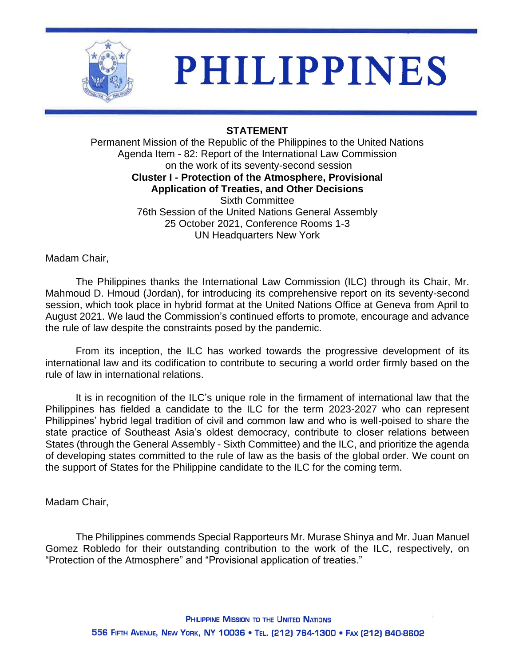

# **PHILIPPINES**

# **STATEMENT**

Permanent Mission of the Republic of the Philippines to the United Nations Agenda Item - 82: Report of the International Law Commission on the work of its seventy-second session **Cluster I - Protection of the Atmosphere, Provisional Application of Treaties, and Other Decisions** Sixth Committee 76th Session of the United Nations General Assembly 25 October 2021, Conference Rooms 1-3 UN Headquarters New York

Madam Chair,

The Philippines thanks the International Law Commission (ILC) through its Chair, Mr. Mahmoud D. Hmoud (Jordan), for introducing its comprehensive report on its seventy-second session, which took place in hybrid format at the United Nations Office at Geneva from April to August 2021. We laud the Commission's continued efforts to promote, encourage and advance the rule of law despite the constraints posed by the pandemic.

From its inception, the ILC has worked towards the progressive development of its international law and its codification to contribute to securing a world order firmly based on the rule of law in international relations.

It is in recognition of the ILC's unique role in the firmament of international law that the Philippines has fielded a candidate to the ILC for the term 2023-2027 who can represent Philippines' hybrid legal tradition of civil and common law and who is well-poised to share the state practice of Southeast Asia's oldest democracy, contribute to closer relations between States (through the General Assembly - Sixth Committee) and the ILC, and prioritize the agenda of developing states committed to the rule of law as the basis of the global order. We count on the support of States for the Philippine candidate to the ILC for the coming term.

Madam Chair,

The Philippines commends Special Rapporteurs Mr. Murase Shinya and Mr. Juan Manuel Gomez Robledo for their outstanding contribution to the work of the ILC, respectively, on "Protection of the Atmosphere" and "Provisional application of treaties."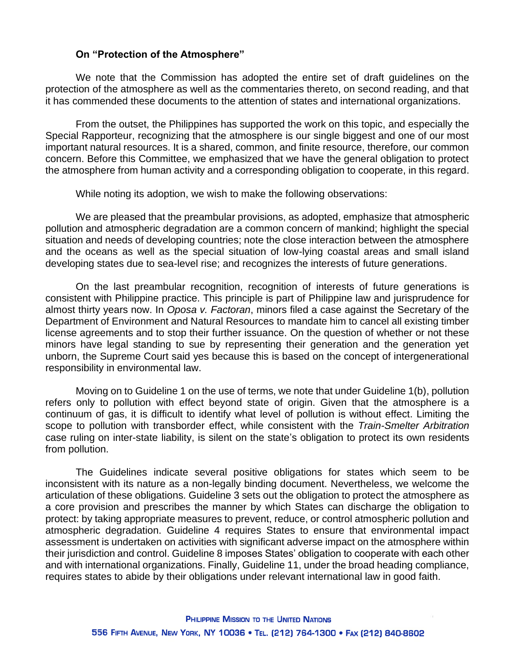#### **On "Protection of the Atmosphere"**

We note that the Commission has adopted the entire set of draft guidelines on the protection of the atmosphere as well as the commentaries thereto, on second reading, and that it has commended these documents to the attention of states and international organizations.

From the outset, the Philippines has supported the work on this topic, and especially the Special Rapporteur, recognizing that the atmosphere is our single biggest and one of our most important natural resources. It is a shared, common, and finite resource, therefore, our common concern. Before this Committee, we emphasized that we have the general obligation to protect the atmosphere from human activity and a corresponding obligation to cooperate, in this regard.

While noting its adoption, we wish to make the following observations:

We are pleased that the preambular provisions, as adopted, emphasize that atmospheric pollution and atmospheric degradation are a common concern of mankind; highlight the special situation and needs of developing countries; note the close interaction between the atmosphere and the oceans as well as the special situation of low-lying coastal areas and small island developing states due to sea-level rise; and recognizes the interests of future generations.

On the last preambular recognition, recognition of interests of future generations is consistent with Philippine practice. This principle is part of Philippine law and jurisprudence for almost thirty years now. In *Oposa v. Factoran*, minors filed a case against the Secretary of the Department of Environment and Natural Resources to mandate him to cancel all existing timber license agreements and to stop their further issuance. On the question of whether or not these minors have legal standing to sue by representing their generation and the generation yet unborn, the Supreme Court said yes because this is based on the concept of intergenerational responsibility in environmental law.

Moving on to Guideline 1 on the use of terms, we note that under Guideline 1(b), pollution refers only to pollution with effect beyond state of origin. Given that the atmosphere is a continuum of gas, it is difficult to identify what level of pollution is without effect. Limiting the scope to pollution with transborder effect, while consistent with the *Train-Smelter Arbitration* case ruling on inter-state liability, is silent on the state's obligation to protect its own residents from pollution.

The Guidelines indicate several positive obligations for states which seem to be inconsistent with its nature as a non-legally binding document. Nevertheless, we welcome the articulation of these obligations. Guideline 3 sets out the obligation to protect the atmosphere as a core provision and prescribes the manner by which States can discharge the obligation to protect: by taking appropriate measures to prevent, reduce, or control atmospheric pollution and atmospheric degradation. Guideline 4 requires States to ensure that environmental impact assessment is undertaken on activities with significant adverse impact on the atmosphere within their jurisdiction and control. Guideline 8 imposes States' obligation to cooperate with each other and with international organizations. Finally, Guideline 11, under the broad heading compliance, requires states to abide by their obligations under relevant international law in good faith.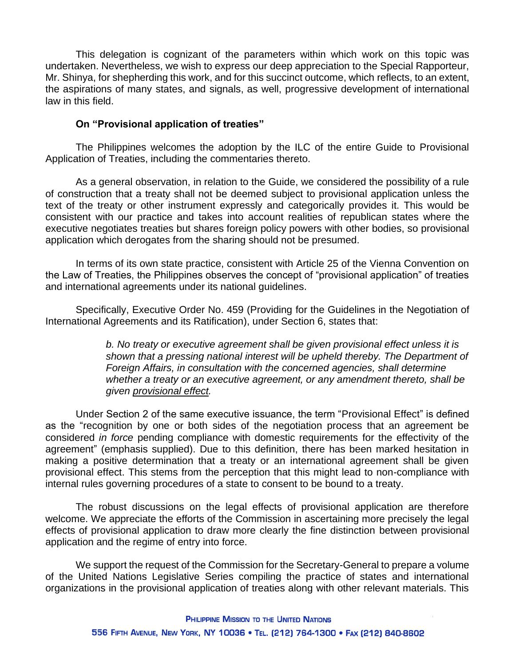This delegation is cognizant of the parameters within which work on this topic was undertaken. Nevertheless, we wish to express our deep appreciation to the Special Rapporteur, Mr. Shinya, for shepherding this work, and for this succinct outcome, which reflects, to an extent, the aspirations of many states, and signals, as well, progressive development of international law in this field.

### **On "Provisional application of treaties"**

The Philippines welcomes the adoption by the ILC of the entire Guide to Provisional Application of Treaties, including the commentaries thereto.

As a general observation, in relation to the Guide, we considered the possibility of a rule of construction that a treaty shall not be deemed subject to provisional application unless the text of the treaty or other instrument expressly and categorically provides it. This would be consistent with our practice and takes into account realities of republican states where the executive negotiates treaties but shares foreign policy powers with other bodies, so provisional application which derogates from the sharing should not be presumed.

In terms of its own state practice, consistent with Article 25 of the Vienna Convention on the Law of Treaties, the Philippines observes the concept of "provisional application" of treaties and international agreements under its national guidelines.

Specifically, Executive Order No. 459 (Providing for the Guidelines in the Negotiation of International Agreements and its Ratification), under Section 6, states that:

> *b. No treaty or executive agreement shall be given provisional effect unless it is shown that a pressing national interest will be upheld thereby. The Department of Foreign Affairs, in consultation with the concerned agencies, shall determine whether a treaty or an executive agreement, or any amendment thereto, shall be given provisional effect.*

Under Section 2 of the same executive issuance, the term "Provisional Effect" is defined as the "recognition by one or both sides of the negotiation process that an agreement be considered *in force* pending compliance with domestic requirements for the effectivity of the agreement" (emphasis supplied). Due to this definition, there has been marked hesitation in making a positive determination that a treaty or an international agreement shall be given provisional effect. This stems from the perception that this might lead to non-compliance with internal rules governing procedures of a state to consent to be bound to a treaty.

The robust discussions on the legal effects of provisional application are therefore welcome. We appreciate the efforts of the Commission in ascertaining more precisely the legal effects of provisional application to draw more clearly the fine distinction between provisional application and the regime of entry into force.

We support the request of the Commission for the Secretary-General to prepare a volume of the United Nations Legislative Series compiling the practice of states and international organizations in the provisional application of treaties along with other relevant materials. This